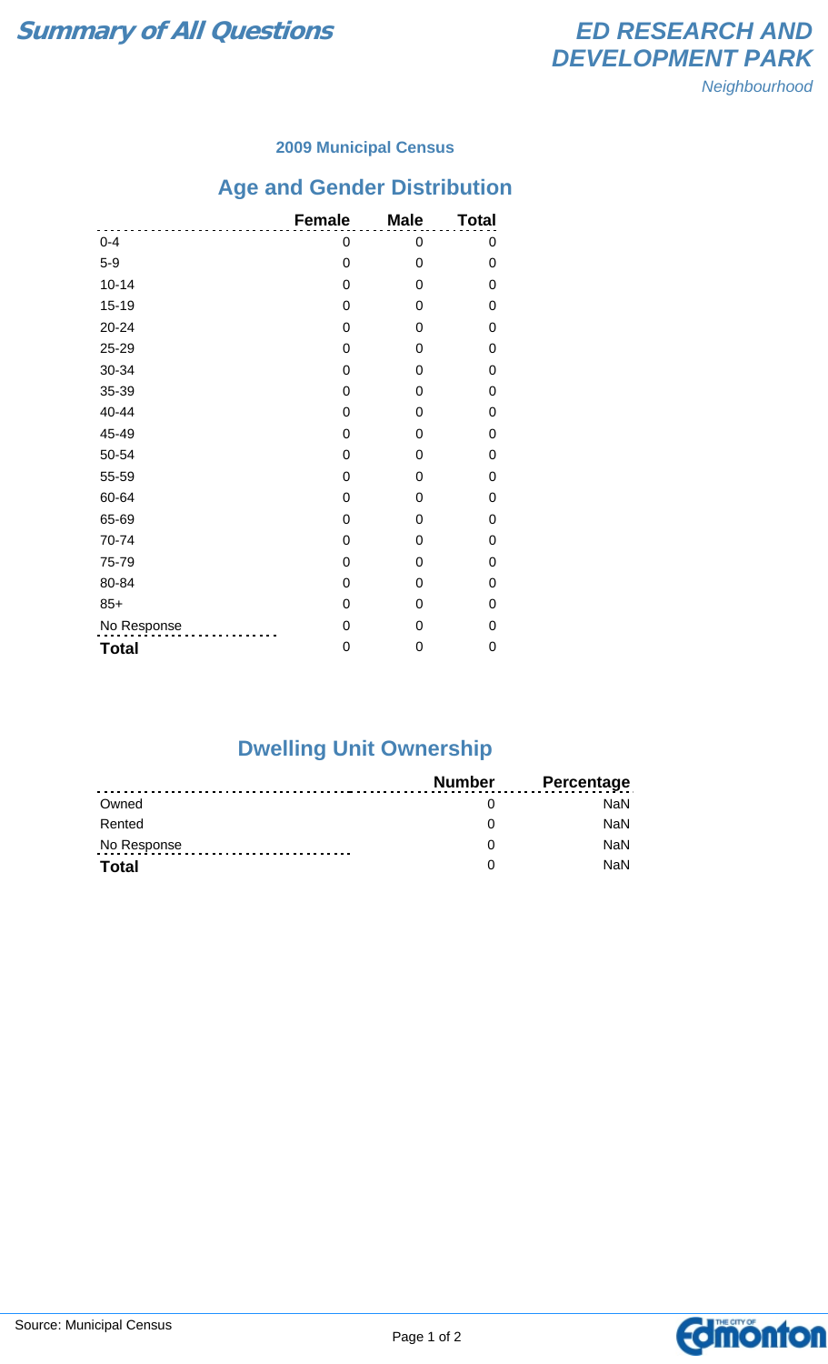

#### **2009 Municipal Census**

# **Age and Gender Distribution**

|              | <b>Female</b> | <b>Male</b> | <b>Total</b> |
|--------------|---------------|-------------|--------------|
| $0 - 4$      | 0             | 0           | 0            |
| $5-9$        | 0             | 0           | 0            |
| $10 - 14$    | $\mathbf 0$   | $\mathbf 0$ | 0            |
| $15 - 19$    | 0             | $\mathbf 0$ | 0            |
| $20 - 24$    | 0             | $\mathbf 0$ | 0            |
| 25-29        | 0             | 0           | 0            |
| 30-34        | 0             | 0           | 0            |
| 35-39        | 0             | 0           | 0            |
| 40-44        | 0             | 0           | 0            |
| 45-49        | $\mathbf 0$   | $\Omega$    | 0            |
| 50-54        | 0             | $\Omega$    | 0            |
| 55-59        | 0             | 0           | 0            |
| 60-64        | 0             | $\mathbf 0$ | 0            |
| 65-69        | $\mathbf 0$   | $\mathbf 0$ | 0            |
| 70-74        | 0             | 0           | 0            |
| 75-79        | 0             | 0           | 0            |
| 80-84        | $\mathbf 0$   | 0           | 0            |
| $85+$        | 0             | 0           | 0            |
| No Response  | $\mathbf 0$   | 0           | 0            |
| <b>Total</b> | 0             | 0           | 0            |

### **Dwelling Unit Ownership**

|              | Number | <b>Percentage</b> |
|--------------|--------|-------------------|
| Owned        |        | NaN.              |
| Rented       |        | <b>NaN</b>        |
| No Response  |        | <b>NaN</b>        |
| <b>Total</b> |        | <b>NaN</b>        |